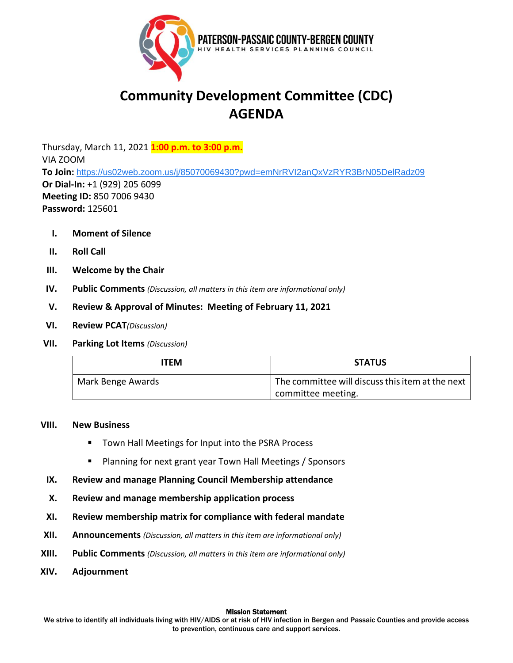

# **Community Development Committee (CDC) AGENDA**

Thursday, March 11, 2021 **1:00 p.m. to 3:00 p.m.** VIA ZOOM **To Join:** [https://us02web.zoom.us/j/85070069430?pwd=emNrRVI2anQxVzRYR3BrN05DelRadz09](https://www.google.com/url?q=https://us02web.zoom.us/j/85070069430?pwd%3DemNrRVI2anQxVzRYR3BrN05DelRadz09&sa=D&source=calendar&ust=1612965512376000&usg=AOvVaw2PVjyyMX3ShWM2GXLY1L-d) **Or Dial-In:** +1 (929) 205 6099 **Meeting ID:** 850 7006 9430 **Password:** 125601

- **I. Moment of Silence**
- **II. Roll Call**
- **III. Welcome by the Chair**
- **IV. Public Comments** *(Discussion, all matters in this item are informational only)*
- **V. Review & Approval of Minutes: Meeting of February 11, 2021**
- **VI. Review PCAT***(Discussion)*
- **VII. Parking Lot Items** *(Discussion)*

| <b>ITFM</b>       | <b>STATUS</b>                                    |
|-------------------|--------------------------------------------------|
| Mark Benge Awards | The committee will discuss this item at the next |
|                   | committee meeting.                               |

## **VIII. New Business**

- Town Hall Meetings for Input into the PSRA Process
- Planning for next grant year Town Hall Meetings / Sponsors
- **IX. Review and manage Planning Council Membership attendance**
- **X. Review and manage membership application process**
- **XI. Review membership matrix for compliance with federal mandate**
- **XII. Announcements** *(Discussion, all matters in this item are informational only)*
- **XIII. Public Comments** *(Discussion, all matters in this item are informational only)*
- **XIV. Adjournment**

#### **Mission Statement**

We strive to identify all individuals living with HIV/AIDS or at risk of HIV infection in Bergen and Passaic Counties and provide access to prevention, continuous care and support services.